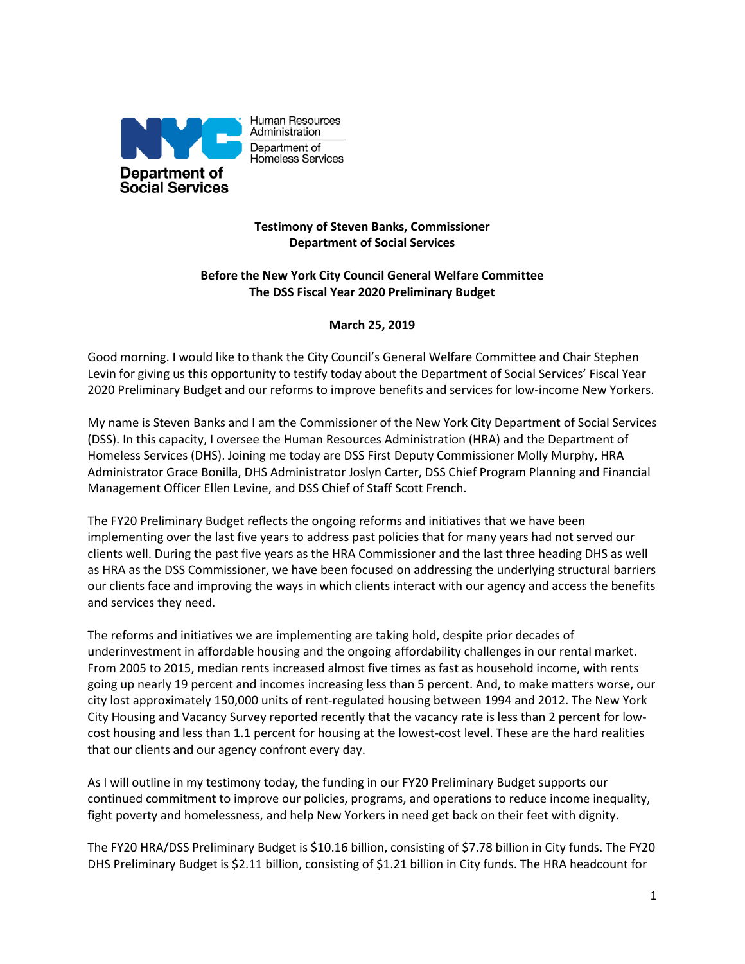

Human Resources Administration Department of Homeless Services

# **Testimony of Steven Banks, Commissioner Department of Social Services**

## **Before the New York City Council General Welfare Committee The DSS Fiscal Year 2020 Preliminary Budget**

## **March 25, 2019**

Good morning. I would like to thank the City Council's General Welfare Committee and Chair Stephen Levin for giving us this opportunity to testify today about the Department of Social Services' Fiscal Year 2020 Preliminary Budget and our reforms to improve benefits and services for low-income New Yorkers.

My name is Steven Banks and I am the Commissioner of the New York City Department of Social Services (DSS). In this capacity, I oversee the Human Resources Administration (HRA) and the Department of Homeless Services (DHS). Joining me today are DSS First Deputy Commissioner Molly Murphy, HRA Administrator Grace Bonilla, DHS Administrator Joslyn Carter, DSS Chief Program Planning and Financial Management Officer Ellen Levine, and DSS Chief of Staff Scott French.

The FY20 Preliminary Budget reflects the ongoing reforms and initiatives that we have been implementing over the last five years to address past policies that for many years had not served our clients well. During the past five years as the HRA Commissioner and the last three heading DHS as well as HRA as the DSS Commissioner, we have been focused on addressing the underlying structural barriers our clients face and improving the ways in which clients interact with our agency and access the benefits and services they need.

The reforms and initiatives we are implementing are taking hold, despite prior decades of underinvestment in affordable housing and the ongoing affordability challenges in our rental market. From 2005 to 2015, median rents increased almost five times as fast as household income, with rents going up nearly 19 percent and incomes increasing less than 5 percent. And, to make matters worse, our city lost approximately 150,000 units of rent-regulated housing between 1994 and 2012. The New York City Housing and Vacancy Survey reported recently that the vacancy rate is less than 2 percent for lowcost housing and less than 1.1 percent for housing at the lowest-cost level. These are the hard realities that our clients and our agency confront every day.

As I will outline in my testimony today, the funding in our FY20 Preliminary Budget supports our continued commitment to improve our policies, programs, and operations to reduce income inequality, fight poverty and homelessness, and help New Yorkers in need get back on their feet with dignity.

The FY20 HRA/DSS Preliminary Budget is \$10.16 billion, consisting of \$7.78 billion in City funds. The FY20 DHS Preliminary Budget is \$2.11 billion, consisting of \$1.21 billion in City funds. The HRA headcount for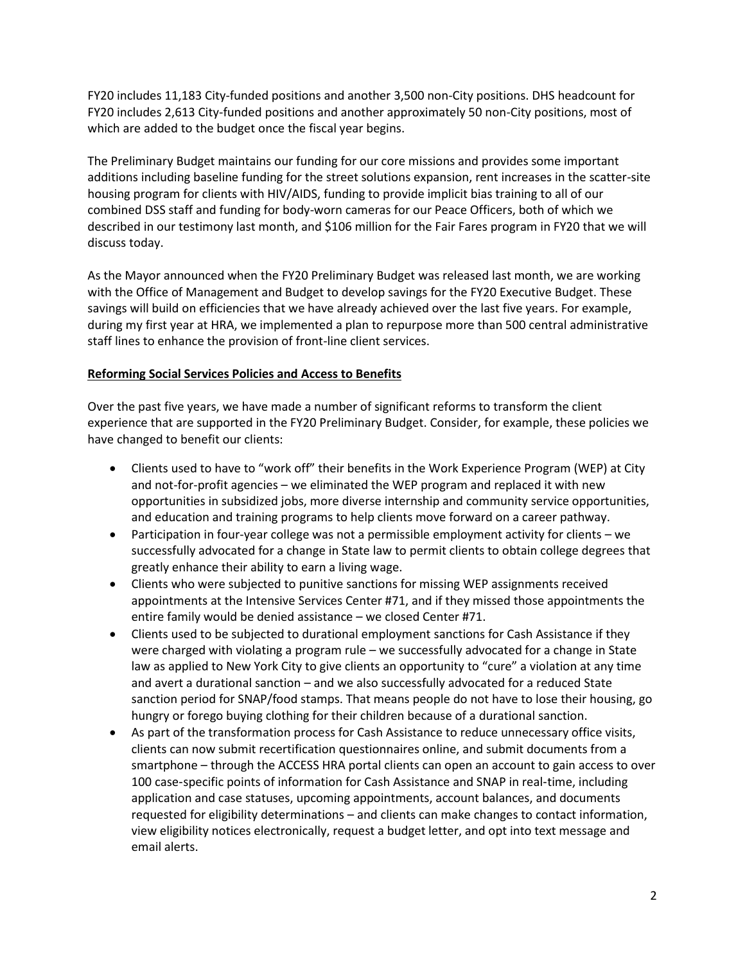FY20 includes 11,183 City-funded positions and another 3,500 non-City positions. DHS headcount for FY20 includes 2,613 City-funded positions and another approximately 50 non-City positions, most of which are added to the budget once the fiscal year begins.

The Preliminary Budget maintains our funding for our core missions and provides some important additions including baseline funding for the street solutions expansion, rent increases in the scatter-site housing program for clients with HIV/AIDS, funding to provide implicit bias training to all of our combined DSS staff and funding for body-worn cameras for our Peace Officers, both of which we described in our testimony last month, and \$106 million for the Fair Fares program in FY20 that we will discuss today.

As the Mayor announced when the FY20 Preliminary Budget was released last month, we are working with the Office of Management and Budget to develop savings for the FY20 Executive Budget. These savings will build on efficiencies that we have already achieved over the last five years. For example, during my first year at HRA, we implemented a plan to repurpose more than 500 central administrative staff lines to enhance the provision of front-line client services.

### **Reforming Social Services Policies and Access to Benefits**

Over the past five years, we have made a number of significant reforms to transform the client experience that are supported in the FY20 Preliminary Budget. Consider, for example, these policies we have changed to benefit our clients:

- Clients used to have to "work off" their benefits in the Work Experience Program (WEP) at City and not-for-profit agencies – we eliminated the WEP program and replaced it with new opportunities in subsidized jobs, more diverse internship and community service opportunities, and education and training programs to help clients move forward on a career pathway.
- Participation in four-year college was not a permissible employment activity for clients we successfully advocated for a change in State law to permit clients to obtain college degrees that greatly enhance their ability to earn a living wage.
- Clients who were subjected to punitive sanctions for missing WEP assignments received appointments at the Intensive Services Center #71, and if they missed those appointments the entire family would be denied assistance – we closed Center #71.
- Clients used to be subjected to durational employment sanctions for Cash Assistance if they were charged with violating a program rule – we successfully advocated for a change in State law as applied to New York City to give clients an opportunity to "cure" a violation at any time and avert a durational sanction – and we also successfully advocated for a reduced State sanction period for SNAP/food stamps. That means people do not have to lose their housing, go hungry or forego buying clothing for their children because of a durational sanction.
- As part of the transformation process for Cash Assistance to reduce unnecessary office visits, clients can now submit recertification questionnaires online, and submit documents from a smartphone – through the ACCESS HRA portal clients can open an account to gain access to over 100 case-specific points of information for Cash Assistance and SNAP in real-time, including application and case statuses, upcoming appointments, account balances, and documents requested for eligibility determinations – and clients can make changes to contact information, view eligibility notices electronically, request a budget letter, and opt into text message and email alerts.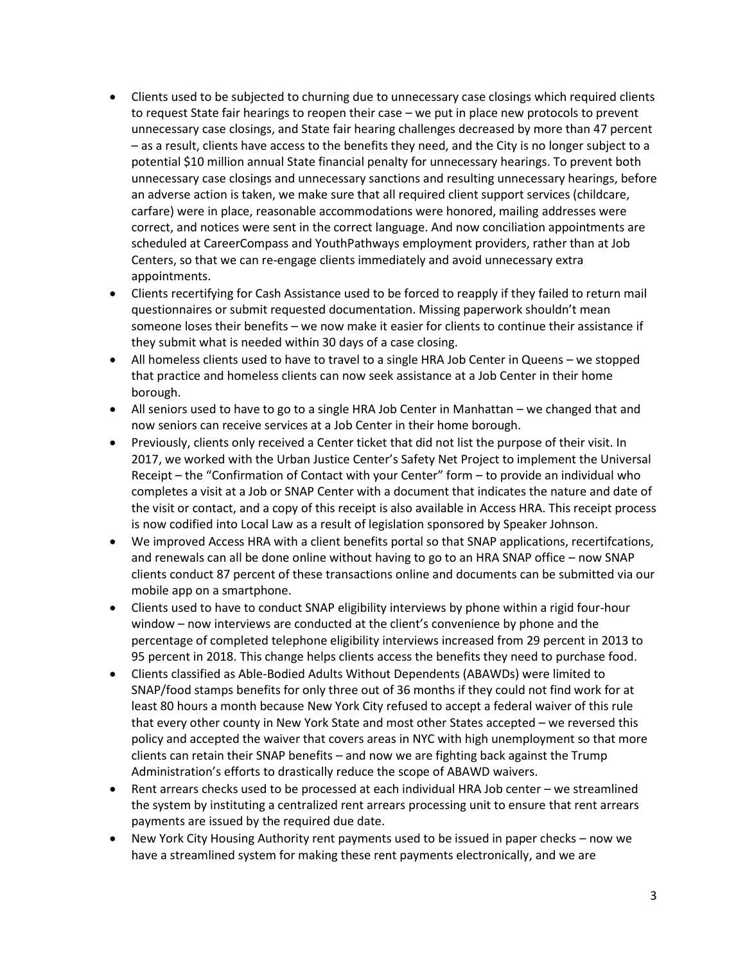- Clients used to be subjected to churning due to unnecessary case closings which required clients to request State fair hearings to reopen their case – we put in place new protocols to prevent unnecessary case closings, and State fair hearing challenges decreased by more than 47 percent – as a result, clients have access to the benefits they need, and the City is no longer subject to a potential \$10 million annual State financial penalty for unnecessary hearings. To prevent both unnecessary case closings and unnecessary sanctions and resulting unnecessary hearings, before an adverse action is taken, we make sure that all required client support services (childcare, carfare) were in place, reasonable accommodations were honored, mailing addresses were correct, and notices were sent in the correct language. And now conciliation appointments are scheduled at CareerCompass and YouthPathways employment providers, rather than at Job Centers, so that we can re-engage clients immediately and avoid unnecessary extra appointments.
- Clients recertifying for Cash Assistance used to be forced to reapply if they failed to return mail questionnaires or submit requested documentation. Missing paperwork shouldn't mean someone loses their benefits – we now make it easier for clients to continue their assistance if they submit what is needed within 30 days of a case closing.
- All homeless clients used to have to travel to a single HRA Job Center in Queens we stopped that practice and homeless clients can now seek assistance at a Job Center in their home borough.
- All seniors used to have to go to a single HRA Job Center in Manhattan we changed that and now seniors can receive services at a Job Center in their home borough.
- Previously, clients only received a Center ticket that did not list the purpose of their visit. In 2017, we worked with the Urban Justice Center's Safety Net Project to implement the Universal Receipt – the "Confirmation of Contact with your Center" form – to provide an individual who completes a visit at a Job or SNAP Center with a document that indicates the nature and date of the visit or contact, and a copy of this receipt is also available in Access HRA. This receipt process is now codified into Local Law as a result of legislation sponsored by Speaker Johnson.
- We improved Access HRA with a client benefits portal so that SNAP applications, recertifcations, and renewals can all be done online without having to go to an HRA SNAP office – now SNAP clients conduct 87 percent of these transactions online and documents can be submitted via our mobile app on a smartphone.
- Clients used to have to conduct SNAP eligibility interviews by phone within a rigid four-hour window – now interviews are conducted at the client's convenience by phone and the percentage of completed telephone eligibility interviews increased from 29 percent in 2013 to 95 percent in 2018. This change helps clients access the benefits they need to purchase food.
- Clients classified as Able-Bodied Adults Without Dependents (ABAWDs) were limited to SNAP/food stamps benefits for only three out of 36 months if they could not find work for at least 80 hours a month because New York City refused to accept a federal waiver of this rule that every other county in New York State and most other States accepted – we reversed this policy and accepted the waiver that covers areas in NYC with high unemployment so that more clients can retain their SNAP benefits – and now we are fighting back against the Trump Administration's efforts to drastically reduce the scope of ABAWD waivers.
- Rent arrears checks used to be processed at each individual HRA Job center we streamlined the system by instituting a centralized rent arrears processing unit to ensure that rent arrears payments are issued by the required due date.
- New York City Housing Authority rent payments used to be issued in paper checks now we have a streamlined system for making these rent payments electronically, and we are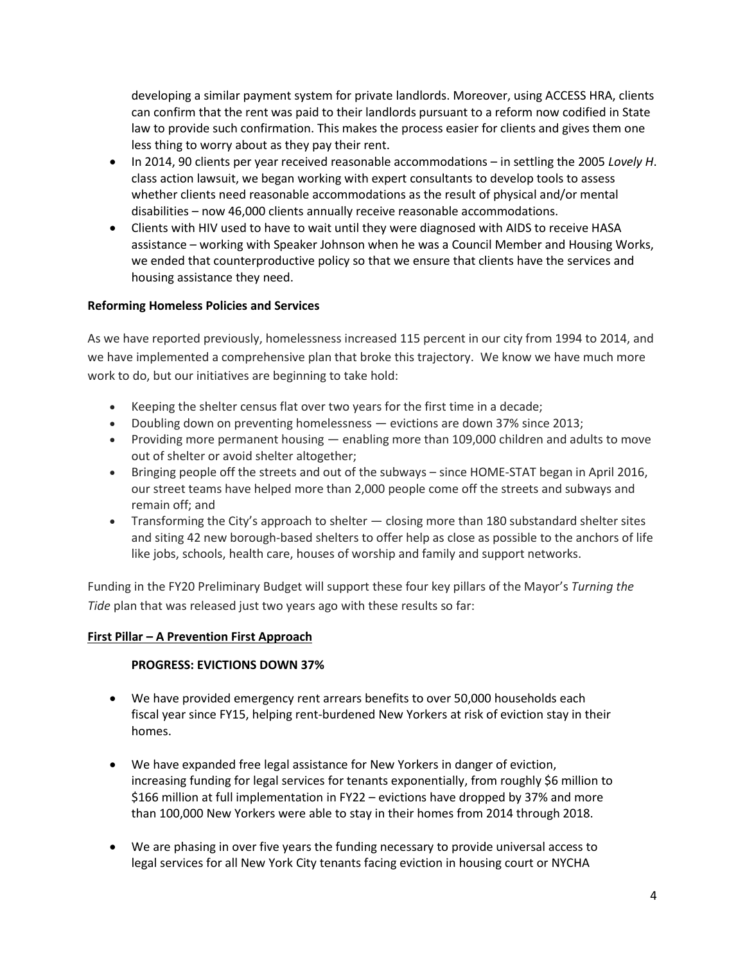developing a similar payment system for private landlords. Moreover, using ACCESS HRA, clients can confirm that the rent was paid to their landlords pursuant to a reform now codified in State law to provide such confirmation. This makes the process easier for clients and gives them one less thing to worry about as they pay their rent.

- In 2014, 90 clients per year received reasonable accommodations in settling the 2005 *Lovely H*. class action lawsuit, we began working with expert consultants to develop tools to assess whether clients need reasonable accommodations as the result of physical and/or mental disabilities – now 46,000 clients annually receive reasonable accommodations.
- Clients with HIV used to have to wait until they were diagnosed with AIDS to receive HASA assistance – working with Speaker Johnson when he was a Council Member and Housing Works, we ended that counterproductive policy so that we ensure that clients have the services and housing assistance they need.

## **Reforming Homeless Policies and Services**

As we have reported previously, homelessness increased 115 percent in our city from 1994 to 2014, and we have implemented a comprehensive plan that broke this trajectory. We know we have much more work to do, but our initiatives are beginning to take hold:

- Keeping the shelter census flat over two years for the first time in a decade;
- Doubling down on preventing homelessness evictions are down 37% since 2013;
- Providing more permanent housing enabling more than 109,000 children and adults to move out of shelter or avoid shelter altogether;
- Bringing people off the streets and out of the subways since HOME-STAT began in April 2016, our street teams have helped more than 2,000 people come off the streets and subways and remain off; and
- Transforming the City's approach to shelter closing more than 180 substandard shelter sites and siting 42 new borough-based shelters to offer help as close as possible to the anchors of life like jobs, schools, health care, houses of worship and family and support networks.

Funding in the FY20 Preliminary Budget will support these four key pillars of the Mayor's *Turning the Tide* plan that was released just two years ago with these results so far:

### **First Pillar – A Prevention First Approach**

### **PROGRESS: EVICTIONS DOWN 37%**

- We have provided emergency rent arrears benefits to over 50,000 households each fiscal year since FY15, helping rent-burdened New Yorkers at risk of eviction stay in their homes.
- We have expanded free legal assistance for New Yorkers in danger of eviction, increasing funding for legal services for tenants exponentially, from roughly \$6 million to \$166 million at full implementation in FY22 – evictions have dropped by 37% and more than 100,000 New Yorkers were able to stay in their homes from 2014 through 2018.
- We are phasing in over five years the funding necessary to provide universal access to legal services for all New York City tenants facing eviction in housing court or NYCHA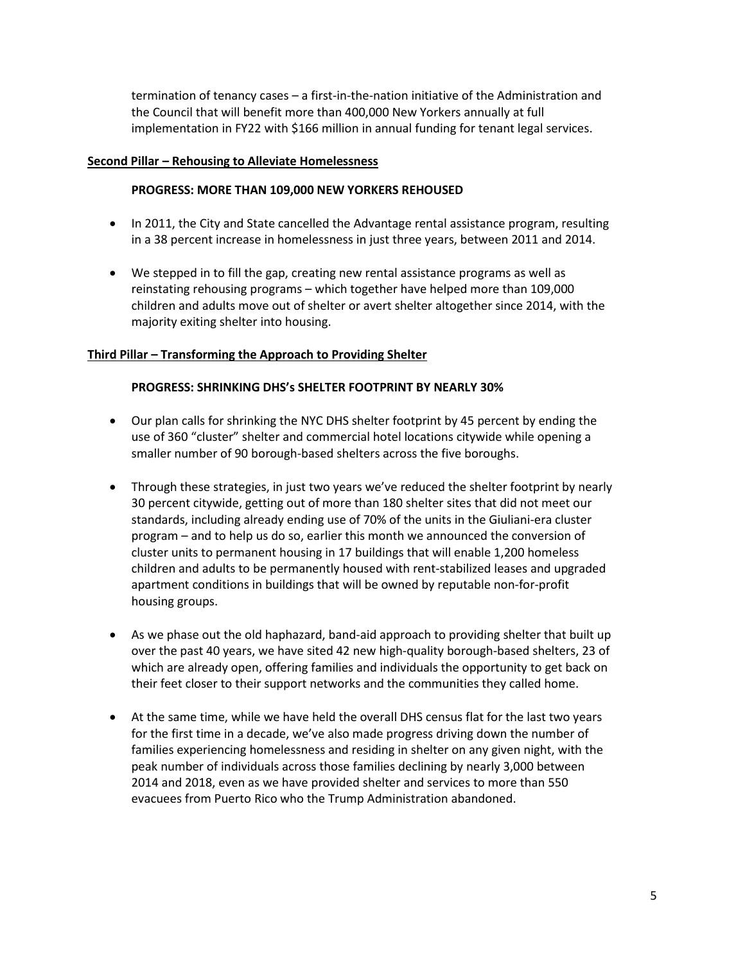termination of tenancy cases – a first-in-the-nation initiative of the Administration and the Council that will benefit more than 400,000 New Yorkers annually at full implementation in FY22 with \$166 million in annual funding for tenant legal services.

#### **Second Pillar – Rehousing to Alleviate Homelessness**

#### **PROGRESS: MORE THAN 109,000 NEW YORKERS REHOUSED**

- In 2011, the City and State cancelled the Advantage rental assistance program, resulting in a 38 percent increase in homelessness in just three years, between 2011 and 2014.
- We stepped in to fill the gap, creating new rental assistance programs as well as reinstating rehousing programs – which together have helped more than 109,000 children and adults move out of shelter or avert shelter altogether since 2014, with the majority exiting shelter into housing.

#### **Third Pillar – Transforming the Approach to Providing Shelter**

#### **PROGRESS: SHRINKING DHS's SHELTER FOOTPRINT BY NEARLY 30%**

- Our plan calls for shrinking the NYC DHS shelter footprint by 45 percent by ending the use of 360 "cluster" shelter and commercial hotel locations citywide while opening a smaller number of 90 borough-based shelters across the five boroughs.
- Through these strategies, in just two years we've reduced the shelter footprint by nearly 30 percent citywide, getting out of more than 180 shelter sites that did not meet our standards, including already ending use of 70% of the units in the Giuliani-era cluster program – and to help us do so, earlier this month we announced the conversion of cluster units to permanent housing in 17 buildings that will enable 1,200 homeless children and adults to be permanently housed with rent-stabilized leases and upgraded apartment conditions in buildings that will be owned by reputable non-for-profit housing groups.
- As we phase out the old haphazard, band-aid approach to providing shelter that built up over the past 40 years, we have sited 42 new high-quality borough-based shelters, 23 of which are already open, offering families and individuals the opportunity to get back on their feet closer to their support networks and the communities they called home.
- At the same time, while we have held the overall DHS census flat for the last two years for the first time in a decade, we've also made progress driving down the number of families experiencing homelessness and residing in shelter on any given night, with the peak number of individuals across those families declining by nearly 3,000 between 2014 and 2018, even as we have provided shelter and services to more than 550 evacuees from Puerto Rico who the Trump Administration abandoned.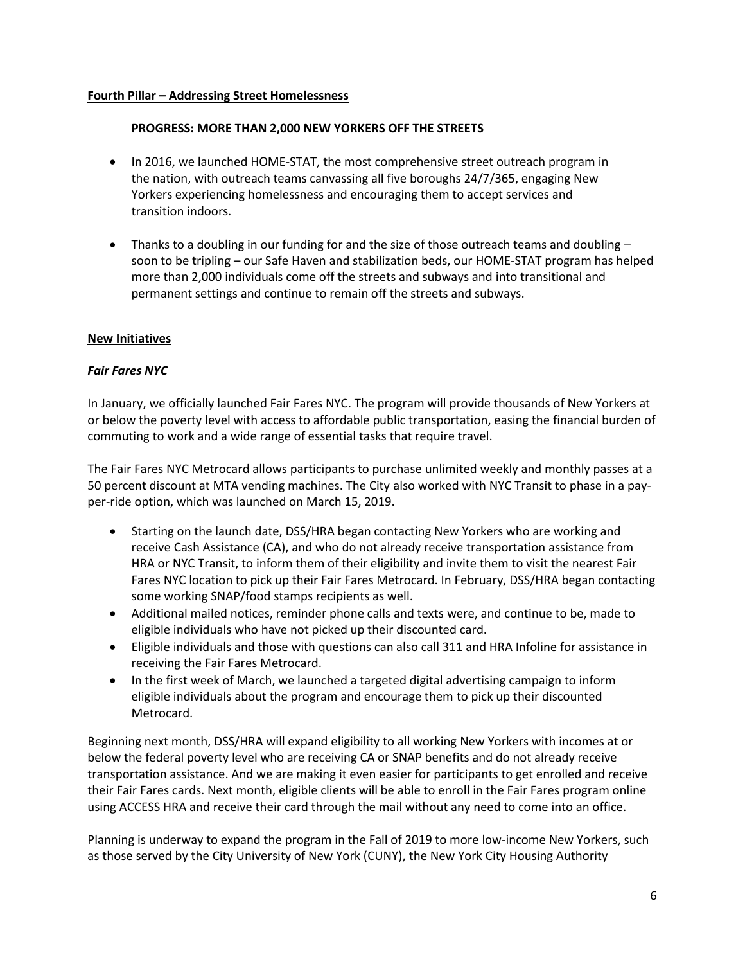### **Fourth Pillar – Addressing Street Homelessness**

### **PROGRESS: MORE THAN 2,000 NEW YORKERS OFF THE STREETS**

- In 2016, we launched HOME-STAT, the most comprehensive street outreach program in the nation, with outreach teams canvassing all five boroughs 24/7/365, engaging New Yorkers experiencing homelessness and encouraging them to accept services and transition indoors.
- Thanks to a doubling in our funding for and the size of those outreach teams and doubling soon to be tripling – our Safe Haven and stabilization beds, our HOME-STAT program has helped more than 2,000 individuals come off the streets and subways and into transitional and permanent settings and continue to remain off the streets and subways.

## **New Initiatives**

## *Fair Fares NYC*

In January, we officially launched Fair Fares NYC. The program will provide thousands of New Yorkers at or below the poverty level with access to affordable public transportation, easing the financial burden of commuting to work and a wide range of essential tasks that require travel.

The Fair Fares NYC Metrocard allows participants to purchase unlimited weekly and monthly passes at a 50 percent discount at MTA vending machines. The City also worked with NYC Transit to phase in a payper-ride option, which was launched on March 15, 2019.

- Starting on the launch date, DSS/HRA began contacting New Yorkers who are working and receive Cash Assistance (CA), and who do not already receive transportation assistance from HRA or NYC Transit, to inform them of their eligibility and invite them to visit the nearest Fair Fares NYC location to pick up their Fair Fares Metrocard. In February, DSS/HRA began contacting some working SNAP/food stamps recipients as well.
- Additional mailed notices, reminder phone calls and texts were, and continue to be, made to eligible individuals who have not picked up their discounted card.
- Eligible individuals and those with questions can also call 311 and HRA Infoline for assistance in receiving the Fair Fares Metrocard.
- In the first week of March, we launched a targeted digital advertising campaign to inform eligible individuals about the program and encourage them to pick up their discounted Metrocard.

Beginning next month, DSS/HRA will expand eligibility to all working New Yorkers with incomes at or below the federal poverty level who are receiving CA or SNAP benefits and do not already receive transportation assistance. And we are making it even easier for participants to get enrolled and receive their Fair Fares cards. Next month, eligible clients will be able to enroll in the Fair Fares program online using ACCESS HRA and receive their card through the mail without any need to come into an office.

Planning is underway to expand the program in the Fall of 2019 to more low-income New Yorkers, such as those served by the City University of New York (CUNY), the New York City Housing Authority